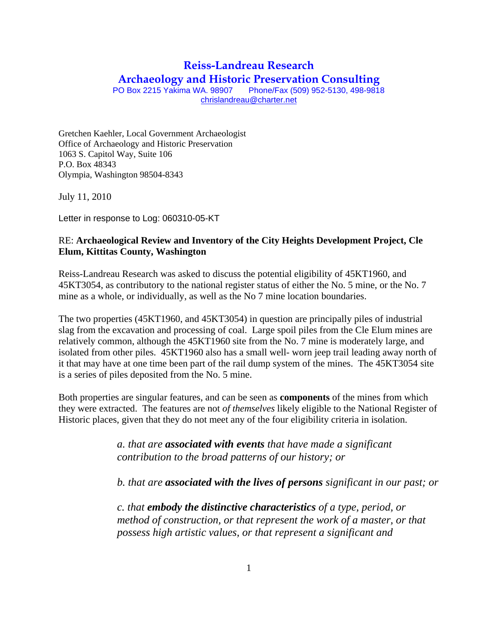## **Reiss-Landreau Research**

**Archaeology and Historic Preservation Consulting**<br>PO Box 2215 Yakima WA. 98907 Phone/Fax (509) 952-5130, 498-9818 Phone/Fax (509) 952-5130, 498-9818

chrislandreau@charter.net

Gretchen Kaehler, Local Government Archaeologist Office of Archaeology and Historic Preservation 1063 S. Capitol Way, Suite 106 P.O. Box 48343 Olympia, Washington 98504-8343

July 11, 2010

Letter in response to Log: 060310-05-KT

## RE: **Archaeological Review and Inventory of the City Heights Development Project, Cle Elum, Kittitas County, Washington**

Reiss-Landreau Research was asked to discuss the potential eligibility of 45KT1960, and 45KT3054, as contributory to the national register status of either the No. 5 mine, or the No. 7 mine as a whole, or individually, as well as the No 7 mine location boundaries.

The two properties (45KT1960, and 45KT3054) in question are principally piles of industrial slag from the excavation and processing of coal. Large spoil piles from the Cle Elum mines are relatively common, although the 45KT1960 site from the No. 7 mine is moderately large, and isolated from other piles. 45KT1960 also has a small well- worn jeep trail leading away north of it that may have at one time been part of the rail dump system of the mines. The 45KT3054 site is a series of piles deposited from the No. 5 mine.

Both properties are singular features, and can be seen as **components** of the mines from which they were extracted. The features are not *of themselves* likely eligible to the National Register of Historic places, given that they do not meet any of the four eligibility criteria in isolation.

> *a. that are associated with events that have made a significant contribution to the broad patterns of our history; or*

*b. that are associated with the lives of persons significant in our past; or* 

*c. that embody the distinctive characteristics of a type, period, or method of construction, or that represent the work of a master, or that possess high artistic values, or that represent a significant and*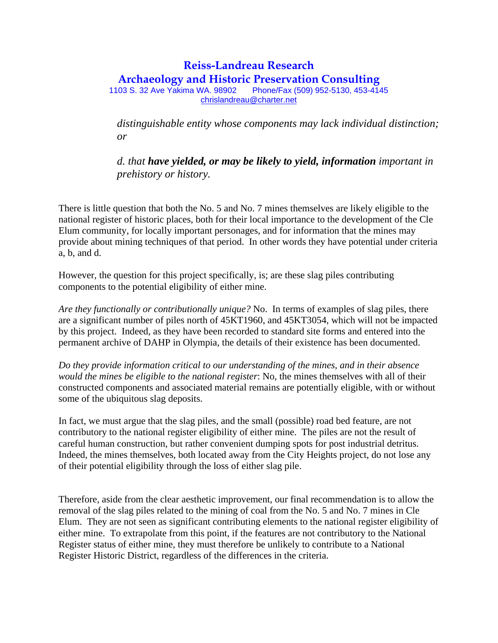## **Reiss-Landreau Research Archaeology and Historic Preservation Consulting**<br>03 S. 32 Ave Yakima WA. 98902 Phone/Fax (509) 952-5130. 453-4145 1103 S. 32 Ave Yakima WA. 98902

chrislandreau@charter.net

*distinguishable entity whose components may lack individual distinction; or* 

*d. that have yielded, or may be likely to yield, information important in prehistory or history.* 

There is little question that both the No. 5 and No. 7 mines themselves are likely eligible to the national register of historic places, both for their local importance to the development of the Cle Elum community, for locally important personages, and for information that the mines may provide about mining techniques of that period. In other words they have potential under criteria a, b, and d.

However, the question for this project specifically, is; are these slag piles contributing components to the potential eligibility of either mine.

*Are they functionally or contributionally unique?* No. In terms of examples of slag piles, there are a significant number of piles north of 45KT1960, and 45KT3054, which will not be impacted by this project. Indeed, as they have been recorded to standard site forms and entered into the permanent archive of DAHP in Olympia, the details of their existence has been documented.

*Do they provide information critical to our understanding of the mines, and in their absence would the mines be eligible to the national register*: No, the mines themselves with all of their constructed components and associated material remains are potentially eligible, with or without some of the ubiquitous slag deposits.

In fact, we must argue that the slag piles, and the small (possible) road bed feature, are not contributory to the national register eligibility of either mine. The piles are not the result of careful human construction, but rather convenient dumping spots for post industrial detritus. Indeed, the mines themselves, both located away from the City Heights project, do not lose any of their potential eligibility through the loss of either slag pile.

Therefore, aside from the clear aesthetic improvement, our final recommendation is to allow the removal of the slag piles related to the mining of coal from the No. 5 and No. 7 mines in Cle Elum. They are not seen as significant contributing elements to the national register eligibility of either mine. To extrapolate from this point, if the features are not contributory to the National Register status of either mine, they must therefore be unlikely to contribute to a National Register Historic District, regardless of the differences in the criteria.